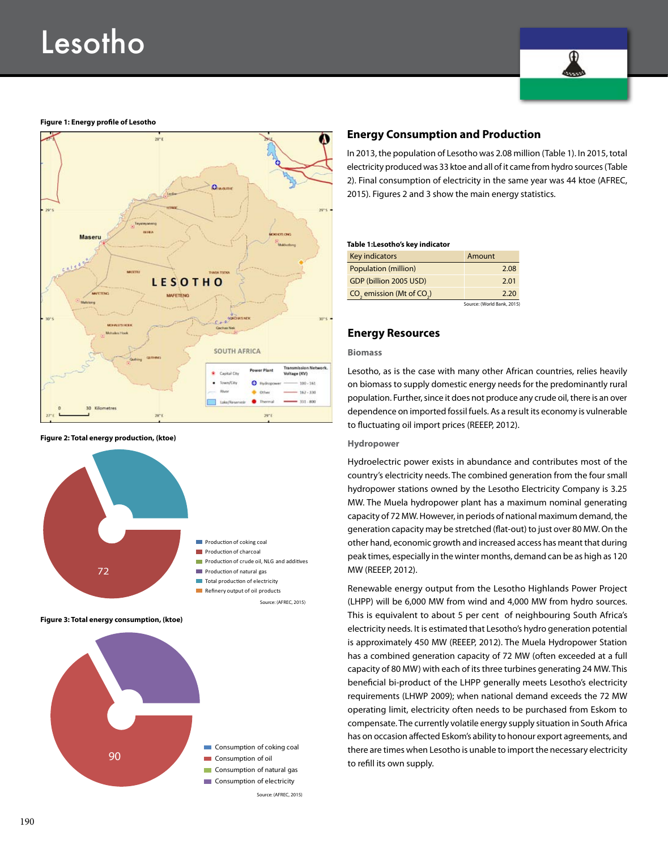

### **Figure 1: Energy profile of Lesotho**



**Figure 2: Total energy production, (ktoe)**



**Figure 3: Total energy consumption, (ktoe)**



## **Energy Consumption and Production**

In 2013, the population of Lesotho was 2.08 million (Table 1). In 2015, total electricity produced was 33 ktoe and all of it came from hydro sources (Table 2). Final consumption of electricity in the same year was 44 ktoe (AFREC, 2015). Figures 2 and 3 show the main energy statistics.

#### **Table 1:Lesotho's key indicator**

| Key indicators                | Amount |
|-------------------------------|--------|
| Population (million)          | 2.08   |
| GDP (billion 2005 USD)        | 2.01   |
| $CO2$ emission (Mt of $CO2$ ) | 2.20   |
|                               |        |

Source: (World Bank, 2015)

### **Energy Resources**

### **Biomass**

Lesotho, as is the case with many other African countries, relies heavily on biomass to supply domestic energy needs for the predominantly rural population. Further, since it does not produce any crude oil, there is an over dependence on imported fossil fuels. As a result its economy is vulnerable to fluctuating oil import prices (REEEP, 2012).

#### **Hydropower**

Hydroelectric power exists in abundance and contributes most of the country's electricity needs. The combined generation from the four small hydropower stations owned by the Lesotho Electricity Company is 3.25 MW. The Muela hydropower plant has a maximum nominal generating capacity of 72 MW. However, in periods of national maximum demand, the generation capacity may be stretched (flat-out) to just over 80 MW. On the other hand, economic growth and increased access has meant that during peak times, especially in the winter months, demand can be as high as 120 MW (REEEP, 2012).

Renewable energy output from the Lesotho Highlands Power Project (LHPP) will be 6,000 MW from wind and 4,000 MW from hydro sources. This is equivalent to about 5 per cent of neighbouring South Africa's electricity needs. It is estimated that Lesotho's hydro generation potential is approximately 450 MW (REEEP, 2012). The Muela Hydropower Station has a combined generation capacity of 72 MW (often exceeded at a full capacity of 80 MW) with each of its three turbines generating 24 MW. This beneficial bi-product of the LHPP generally meets Lesotho's electricity requirements (LHWP 2009); when national demand exceeds the 72 MW operating limit, electricity often needs to be purchased from Eskom to compensate. The currently volatile energy supply situation in South Africa has on occasion affected Eskom's ability to honour export agreements, and there are times when Lesotho is unable to import the necessary electricity to refill its own supply.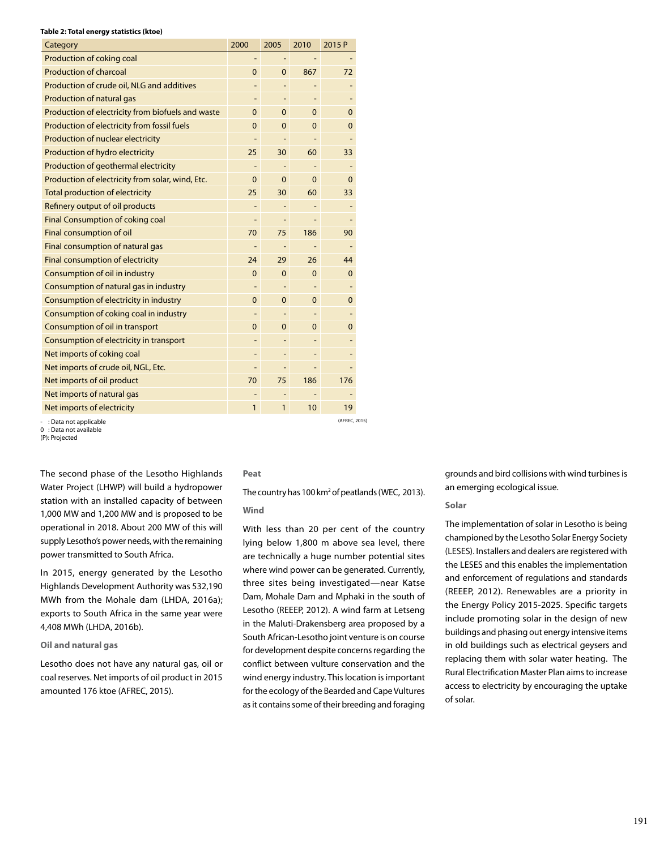### **Table 2: Total energy statistics (ktoe)**

| Category                                          | 2000                     | 2005                     | 2010         | 2015 P         |
|---------------------------------------------------|--------------------------|--------------------------|--------------|----------------|
| Production of coking coal                         |                          |                          |              |                |
| <b>Production of charcoal</b>                     | $\mathbf{0}$             | $\Omega$                 | 867          | 72             |
| Production of crude oil, NLG and additives        |                          |                          |              |                |
| <b>Production of natural gas</b>                  |                          |                          |              |                |
| Production of electricity from biofuels and waste | $\mathbf 0$              | $\mathbf 0$              | 0            | 0              |
| Production of electricity from fossil fuels       | $\Omega$                 | $\Omega$                 | $\mathbf{0}$ | $\Omega$       |
| Production of nuclear electricity                 | $\overline{\phantom{0}}$ |                          |              | $\overline{a}$ |
| Production of hydro electricity                   | 25                       | 30                       | 60           | 33             |
| Production of geothermal electricity              |                          |                          |              |                |
| Production of electricity from solar, wind, Etc.  | $\mathbf 0$              | $\Omega$                 | $\Omega$     | 0              |
| Total production of electricity                   | 25                       | 30                       | 60           | 33             |
| Refinery output of oil products                   | $\overline{a}$           |                          |              | L,             |
| Final Consumption of coking coal                  | -                        |                          |              |                |
| Final consumption of oil                          | 70                       | 75                       | 186          | 90             |
| Final consumption of natural gas                  | $\overline{\phantom{0}}$ | $\overline{\phantom{a}}$ |              | $\overline{a}$ |
| Final consumption of electricity                  | 24                       | 29                       | 26           | 44             |
| Consumption of oil in industry                    | $\mathbf{0}$             | $\Omega$                 | $\mathbf{0}$ | $\mathbf 0$    |
| Consumption of natural gas in industry            |                          |                          |              |                |
| Consumption of electricity in industry            | $\Omega$                 | $\Omega$                 | $\Omega$     | $\Omega$       |
| Consumption of coking coal in industry            |                          |                          |              |                |
| Consumption of oil in transport                   | 0                        | $\Omega$                 | 0            | 0              |
| Consumption of electricity in transport           |                          |                          |              |                |
| Net imports of coking coal                        | $\overline{\phantom{0}}$ |                          |              |                |
| Net imports of crude oil, NGL, Etc.               | $\overline{\phantom{0}}$ |                          |              | -              |
| Net imports of oil product                        | 70                       | 75                       | 186          | 176            |
| Net imports of natural gas                        |                          |                          |              |                |
| Net imports of electricity                        | $\mathbf{1}$             | 1                        | 10           | 19             |
| $\cdot$ Data not annlicable                       |                          |                          |              | (AFREC, 2015)  |

- : Data not applicable

0 : Data not available (P): Projected

The second phase of the Lesotho Highlands Water Project (LHWP) will build a hydropower station with an installed capacity of between 1,000 MW and 1,200 MW and is proposed to be operational in 2018. About 200 MW of this will supply Lesotho's power needs, with the remaining power transmitted to South Africa.

In 2015, energy generated by the Lesotho Highlands Development Authority was 532,190 MWh from the Mohale dam (LHDA, 2016a); exports to South Africa in the same year were 4,408 MWh (LHDA, 2016b).

### **Oil and natural gas**

Lesotho does not have any natural gas, oil or coal reserves. Net imports of oil product in 2015 amounted 176 ktoe (AFREC, 2015).

## **Peat**

The country has 100 km<sup>2</sup> of peatlands (WEC, 2013).

## **Wind**

With less than 20 per cent of the country lying below 1,800 m above sea level, there are technically a huge number potential sites where wind power can be generated. Currently, three sites being investigated—near Katse Dam, Mohale Dam and Mphaki in the south of Lesotho (REEEP, 2012). A wind farm at Letseng in the Maluti-Drakensberg area proposed by a South African-Lesotho joint venture is on course for development despite concerns regarding the conflict between vulture conservation and the wind energy industry. This location is important for the ecology of the Bearded and Cape Vultures as it contains some of their breeding and foraging

grounds and bird collisions with wind turbines is an emerging ecological issue.

### **Solar**

The implementation of solar in Lesotho is being championed by the Lesotho Solar Energy Society (LESES). Installers and dealers are registered with the LESES and this enables the implementation and enforcement of regulations and standards (REEEP, 2012). Renewables are a priority in the Energy Policy 2015-2025. Specific targets include promoting solar in the design of new buildings and phasing out energy intensive items in old buildings such as electrical geysers and replacing them with solar water heating. The Rural Electrification Master Plan aims to increase access to electricity by encouraging the uptake of solar.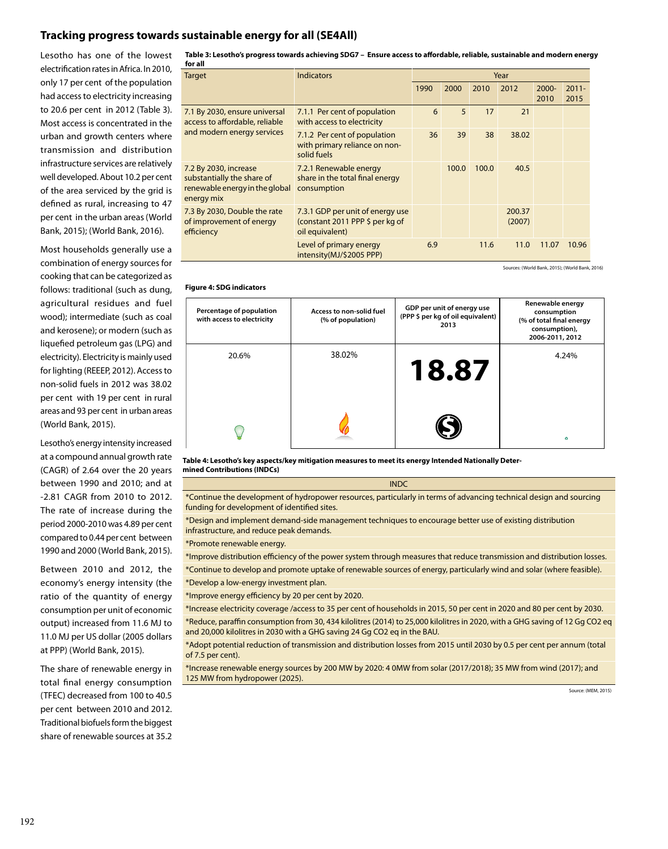# **Tracking progress towards sustainable energy for all (SE4All)**

Lesotho has one of the lowest electrification rates in Africa. In 2010, only 17 per cent of the population had access to electricity increasing to 20.6 per cent in 2012 (Table 3). Most access is concentrated in the urban and growth centers where transmission and distribution infrastructure services are relatively well developed. About 10.2 per cent of the area serviced by the grid is defined as rural, increasing to 47 per cent in the urban areas (World Bank, 2015); (World Bank, 2016).

Most households generally use a combination of energy sources for cooking that can be categorized as follows: traditional (such as dung, agricultural residues and fuel wood); intermediate (such as coal and kerosene); or modern (such as liquefied petroleum gas (LPG) and electricity). Electricity is mainly used for lighting (REEEP, 2012). Access to non-solid fuels in 2012 was 38.02 per cent with 19 per cent in rural areas and 93 per cent in urban areas (World Bank, 2015).

Lesotho's energy intensity increased at a compound annual growth rate (CAGR) of 2.64 over the 20 years between 1990 and 2010; and at -2.81 CAGR from 2010 to 2012. The rate of increase during the period 2000-2010 was 4.89 per cent compared to 0.44 per cent between 1990 and 2000 (World Bank, 2015).

Between 2010 and 2012, the economy's energy intensity (the ratio of the quantity of energy consumption per unit of economic output) increased from 11.6 MJ to 11.0 MJ per US dollar (2005 dollars at PPP) (World Bank, 2015).

The share of renewable energy in total final energy consumption (TFEC) decreased from 100 to 40.5 per cent between 2010 and 2012. Traditional biofuels form the biggest share of renewable sources at 35.2

**Table 3: Lesotho's progress towards achieving SDG7 – Ensure access to affordable, reliable, sustainable and modern energy for all**

| <b>Target</b>                                                                                       | <b>Indicators</b>                                                                      | Year |       |       |                  |                  |                  |
|-----------------------------------------------------------------------------------------------------|----------------------------------------------------------------------------------------|------|-------|-------|------------------|------------------|------------------|
|                                                                                                     |                                                                                        | 1990 | 2000  | 2010  | 2012             | $2000 -$<br>2010 | $2011 -$<br>2015 |
| 7.1 By 2030, ensure universal<br>access to affordable, reliable<br>and modern energy services       | 7.1.1 Per cent of population<br>with access to electricity                             | 6    | 5     | 17    | 21               |                  |                  |
|                                                                                                     | 7.1.2 Per cent of population<br>with primary reliance on non-<br>solid fuels           | 36   | 39    | 38    | 38.02            |                  |                  |
| 7.2 By 2030, increase<br>substantially the share of<br>renewable energy in the global<br>energy mix | 7.2.1 Renewable energy<br>share in the total final energy<br>consumption               |      | 100.0 | 100.0 | 40.5             |                  |                  |
| 7.3 By 2030, Double the rate<br>of improvement of energy<br>efficiency                              | 7.3.1 GDP per unit of energy use<br>(constant 2011 PPP \$ per kg of<br>oil equivalent) |      |       |       | 200.37<br>(2007) |                  |                  |
|                                                                                                     | Level of primary energy<br>intensity(MJ/\$2005 PPP)                                    | 6.9  |       | 11.6  | 11.0             | 11.07            | 10.96            |

Sources: (World Bank, 2015); (World Bank, 2016)

### **Figure 4: SDG indicators**

| Percentage of population<br>with access to electricity | Access to non-solid fuel<br>(% of population) | GDP per unit of energy use<br>(PPP \$ per kg of oil equivalent)<br>2013 | Renewable energy<br>consumption<br>(% of total final energy<br>consumption),<br>2006-2011, 2012 |
|--------------------------------------------------------|-----------------------------------------------|-------------------------------------------------------------------------|-------------------------------------------------------------------------------------------------|
| 20.6%                                                  | 38.02%                                        | 18.87                                                                   | 4.24%                                                                                           |
|                                                        |                                               |                                                                         | Ø.                                                                                              |

**Table 4: Lesotho's key aspects/key mitigation measures to meet its energy Intended Nationally Determined Contributions (INDCs)**

\*Continue the development of hydropower resources, particularly in terms of advancing technical design and sourcing funding for development of identified sites.

INDC

\*Design and implement demand-side management techniques to encourage better use of existing distribution infrastructure, and reduce peak demands.

\*Promote renewable energy.

\*Improve distribution efficiency of the power system through measures that reduce transmission and distribution losses.

\*Continue to develop and promote uptake of renewable sources of energy, particularly wind and solar (where feasible).

\*Develop a low-energy investment plan.

\*Improve energy efficiency by 20 per cent by 2020.

\*Increase electricity coverage /access to 35 per cent of households in 2015, 50 per cent in 2020 and 80 per cent by 2030.

\*Reduce, paraffin consumption from 30, 434 kilolitres (2014) to 25,000 kilolitres in 2020, with a GHG saving of 12 Gg CO2 eq and 20,000 kilolitres in 2030 with a GHG saving 24 Gg CO2 eq in the BAU.

\*Adopt potential reduction of transmission and distribution losses from 2015 until 2030 by 0.5 per cent per annum (total of 7.5 per cent).

\*Increase renewable energy sources by 200 MW by 2020: 4 0MW from solar (2017/2018); 35 MW from wind (2017); and 125 MW from hydropower (2025).

Source: (MEM, 2015)